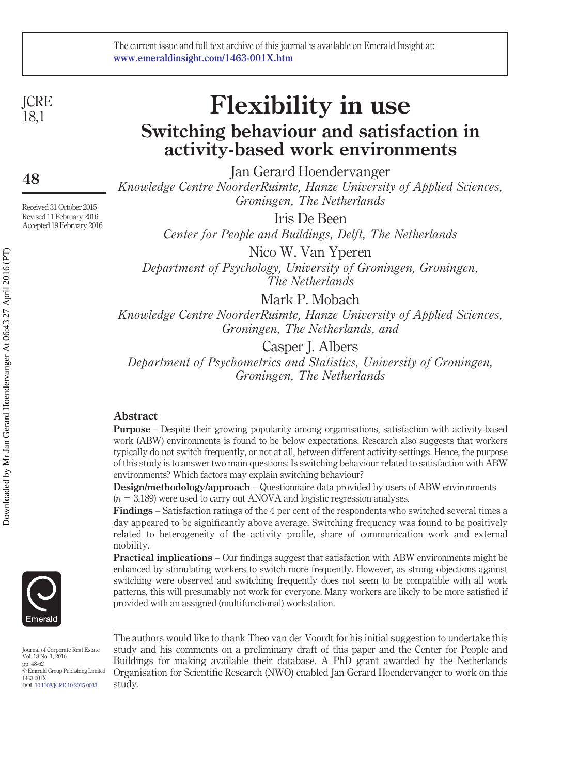**ICRE** 18,1

**48**

Received 31 October 2015 Revised 11 February 2016 Accepted 19 February 2016

**Flexibility in use Switching behaviour and satisfaction in activity-based work environments**

Jan Gerard Hoendervanger *Knowledge Centre NoorderRuimte, Hanze University of Applied Sciences, Groningen, The Netherlands*

> Iris De Been *Center for People and Buildings, Delft, The Netherlands*

Nico W. Van Yperen *Department of Psychology, University of Groningen, Groningen, The Netherlands*

Mark P. Mobach

*Knowledge Centre NoorderRuimte, Hanze University of Applied Sciences, Groningen, The Netherlands, and*

Casper J. Albers

*Department of Psychometrics and Statistics, University of Groningen, Groningen, The Netherlands*

# **Abstract**

**Purpose** – Despite their growing popularity among organisations, satisfaction with activity-based work (ABW) environments is found to be below expectations. Research also suggests that workers typically do not switch frequently, or not at all, between different activity settings. Hence, the purpose of this study is to answer two main questions: Is switching behaviour related to satisfaction with ABW environments? Which factors may explain switching behaviour?

**Design/methodology/approach** – Questionnaire data provided by users of ABW environments  $(n = 3,189)$  were used to carry out ANOVA and logistic regression analyses.

**Findings** – Satisfaction ratings of the 4 per cent of the respondents who switched several times a day appeared to be significantly above average. Switching frequency was found to be positively related to heterogeneity of the activity profile, share of communication work and external mobility.

**Practical implications** – Our findings suggest that satisfaction with ABW environments might be enhanced by stimulating workers to switch more frequently. However, as strong objections against switching were observed and switching frequently does not seem to be compatible with all work patterns, this will presumably not work for everyone. Many workers are likely to be more satisfied if provided with an assigned (multifunctional) workstation.

Journal of Corporate Real Estate Vol. 18 No. 1, 2016 pp. 48-62 © Emerald Group Publishing Limited 1463-001X DOI [10.1108/JCRE-10-2015-0033](http://dx.doi.org/10.1108/JCRE-10-2015-0033)

The authors would like to thank Theo van der Voordt for his initial suggestion to undertake this study and his comments on a preliminary draft of this paper and the Center for People and Buildings for making available their database. A PhD grant awarded by the Netherlands Organisation for Scientific Research (NWO) enabled Jan Gerard Hoendervanger to work on this study.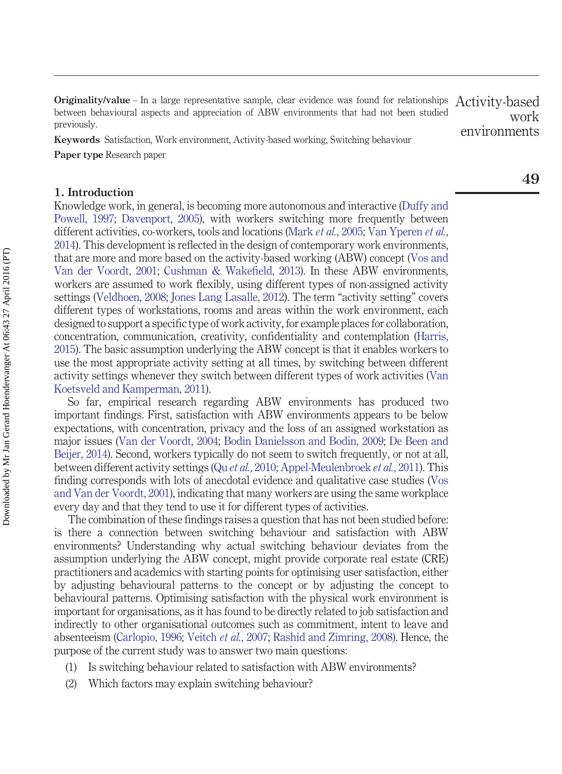**Originality/value** – In a large representative sample, clear evidence was found for relationships between behavioural aspects and appreciation of ABW environments that had not been studied previously. Activity-based work environments

**Keywords** Satisfaction, Work environment, Activity-based working, Switching behaviour **Paper type** Research paper

# **1. Introduction**

Knowledge work, in general, is becoming more autonomous and interactive [\(Duffy and](#page-12-0) [Powell, 1997;](#page-12-0) [Davenport, 2005\)](#page-12-1), with workers switching more frequently between different activities, co-workers, tools and locations (Mark *et al.*[, 2005;](#page-13-0) [Van Yperen](#page-13-1) *et al.*, [2014\)](#page-13-1). This development is reflected in the design of contemporary work environments, that are more and more based on the activity-based working (ABW) concept [\(Vos and](#page-13-2) [Van der Voordt, 2001;](#page-13-2) [Cushman & Wakefield, 2013\)](#page-12-2). In these ABW environments, workers are assumed to work flexibly, using different types of non-assigned activity settings [\(Veldhoen, 2008;](#page-13-3) [Jones Lang Lasalle, 2012\)](#page-13-4). The term "activity setting" covers different types of workstations, rooms and areas within the work environment, each designed to support a specific type of work activity, for example places for collaboration, concentration, communication, creativity, confidentiality and contemplation [\(Harris,](#page-13-5) [2015\)](#page-13-5). The basic assumption underlying the ABW concept is that it enables workers to use the most appropriate activity setting at all times, by switching between different activity settings whenever they switch between different types of work activities [\(Van](#page-13-6) [Koetsveld and Kamperman, 2011\)](#page-13-6).

So far, empirical research regarding ABW environments has produced two important findings. First, satisfaction with ABW environments appears to be below expectations, with concentration, privacy and the loss of an assigned workstation as major issues [\(Van der Voordt, 2004;](#page-13-7) [Bodin Danielsson and Bodin, 2009;](#page-12-3) [De Been and](#page-12-4) [Beijer, 2014\)](#page-12-4). Second, workers typically do not seem to switch frequently, or not at all, between different activity settings (Qu *et al.*[, 2010;](#page-13-8) [Appel-Meulenbroek](#page-12-5) *et al.*, 2011). This finding corresponds with lots of anecdotal evidence and qualitative case studies [\(Vos](#page-13-2) [and Van der Voordt, 2001\)](#page-13-2), indicating that many workers are using the same workplace every day and that they tend to use it for different types of activities.

The combination of these findings raises a question that has not been studied before: is there a connection between switching behaviour and satisfaction with ABW environments? Understanding why actual switching behaviour deviates from the assumption underlying the ABW concept, might provide corporate real estate (CRE) practitioners and academics with starting points for optimising user satisfaction, either by adjusting behavioural patterns to the concept or by adjusting the concept to behavioural patterns. Optimising satisfaction with the physical work environment is important for organisations, as it has found to be directly related to job satisfaction and indirectly to other organisational outcomes such as commitment, intent to leave and absenteeism [\(Carlopio, 1996;](#page-12-6) [Veitch](#page-13-9) *et al.*, 2007; [Rashid and Zimring, 2008\)](#page-13-10). Hence, the purpose of the current study was to answer two main questions:

- (1) Is switching behaviour related to satisfaction with ABW environments?
- (2) Which factors may explain switching behaviour?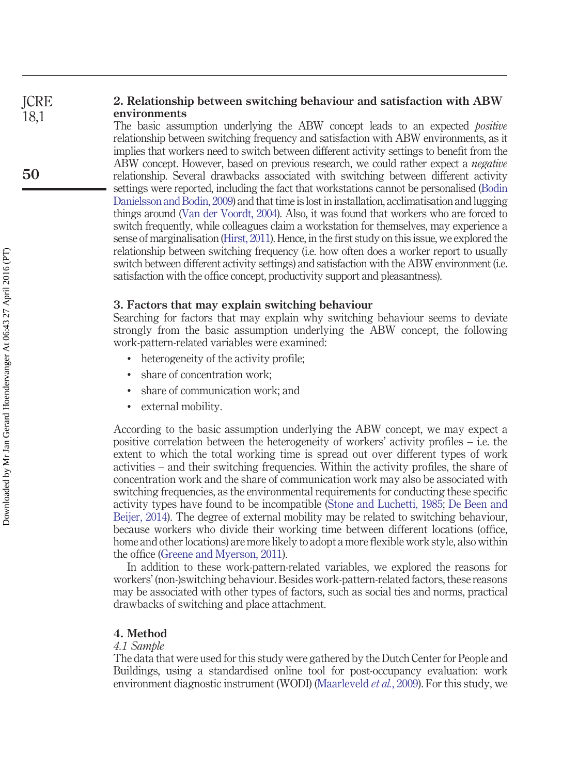#### **2. Relationship between switching behaviour and satisfaction with ABW environments ICRE** 18,1

The basic assumption underlying the ABW concept leads to an expected *positive* relationship between switching frequency and satisfaction with ABW environments, as it implies that workers need to switch between different activity settings to benefit from the ABW concept. However, based on previous research, we could rather expect a *negative* relationship. Several drawbacks associated with switching between different activity settings were reported, including the fact that workstations cannot be personalised [\(Bodin](#page-12-3) [Danielsson and Bodin, 2009\)](#page-12-3) and that time is lost in installation, acclimatisation and lugging things around [\(Van der Voordt, 2004\)](#page-13-7). Also, it was found that workers who are forced to switch frequently, while colleagues claim a workstation for themselves, may experience a sense of marginalisation [\(Hirst, 2011\)](#page-13-11). Hence, in the first study on this issue, we explored the relationship between switching frequency (i.e. how often does a worker report to usually switch between different activity settings) and satisfaction with the ABW environment (i.e. satisfaction with the office concept, productivity support and pleasantness).

## **3. Factors that may explain switching behaviour**

Searching for factors that may explain why switching behaviour seems to deviate strongly from the basic assumption underlying the ABW concept, the following work-pattern-related variables were examined:

- heterogeneity of the activity profile;
- share of concentration work;
- share of communication work; and
- external mobility.

According to the basic assumption underlying the ABW concept, we may expect a positive correlation between the heterogeneity of workers' activity profiles – i.e. the extent to which the total working time is spread out over different types of work activities – and their switching frequencies. Within the activity profiles, the share of concentration work and the share of communication work may also be associated with switching frequencies, as the environmental requirements for conducting these specific activity types have found to be incompatible [\(Stone and Luchetti, 1985;](#page-13-12) [De Been and](#page-12-4) [Beijer, 2014\)](#page-12-4). The degree of external mobility may be related to switching behaviour, because workers who divide their working time between different locations (office, home and other locations) are more likely to adopt a more flexible work style, also within the office [\(Greene and Myerson, 2011\)](#page-13-13).

In addition to these work-pattern-related variables, we explored the reasons for workers' (non-)switching behaviour. Besides work-pattern-related factors, these reasons may be associated with other types of factors, such as social ties and norms, practical drawbacks of switching and place attachment.

# **4. Method**

# *4.1 Sample*

The data that were used for this study were gathered by the Dutch Center for People and Buildings, using a standardised online tool for post-occupancy evaluation: work environment diagnostic instrument (WODI) [\(Maarleveld](#page-13-14) *et al.*, 2009). For this study, we

**50**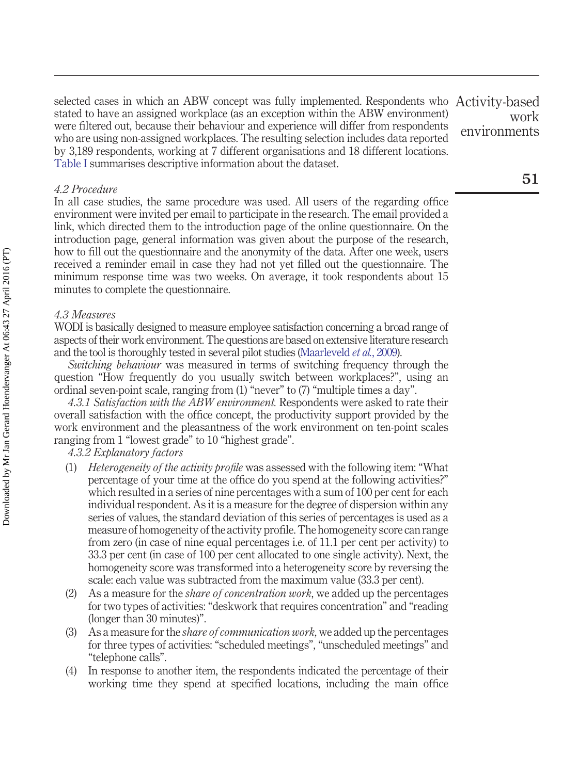selected cases in which an ABW concept was fully implemented. Respondents who stated to have an assigned workplace (as an exception within the ABW environment) were filtered out, because their behaviour and experience will differ from respondents who are using non-assigned workplaces. The resulting selection includes data reported by 3,189 respondents, working at 7 different organisations and 18 different locations. [Table I](#page-4-0) summarises descriptive information about the dataset. Activity-based

### *4.2 Procedure*

In all case studies, the same procedure was used. All users of the regarding office environment were invited per email to participate in the research. The email provided a link, which directed them to the introduction page of the online questionnaire. On the introduction page, general information was given about the purpose of the research, how to fill out the questionnaire and the anonymity of the data. After one week, users received a reminder email in case they had not yet filled out the questionnaire. The minimum response time was two weeks. On average, it took respondents about 15 minutes to complete the questionnaire.

# *4.3 Measures*

WODI is basically designed to measure employee satisfaction concerning a broad range of aspects of their work environment. The questions are based on extensive literature research and the tool is thoroughly tested in several pilot studies [\(Maarleveld](#page-13-14) *et al.*, 2009).

*Switching behaviour* was measured in terms of switching frequency through the question "How frequently do you usually switch between workplaces?", using an ordinal seven-point scale, ranging from (1) "never" to (7) "multiple times a day".

*4.3.1 Satisfaction with the ABW environment.* Respondents were asked to rate their overall satisfaction with the office concept, the productivity support provided by the work environment and the pleasantness of the work environment on ten-point scales ranging from 1 "lowest grade" to 10 "highest grade".

# *4.3.2 Explanatory factors*

- (1) *Heterogeneity of the activity profile* was assessed with the following item: "What percentage of your time at the office do you spend at the following activities?" which resulted in a series of nine percentages with a sum of 100 per cent for each individual respondent. As it is a measure for the degree of dispersion within any series of values, the standard deviation of this series of percentages is used as a measure of homogeneity of the activity profile. The homogeneity score can range from zero (in case of nine equal percentages i.e. of 11.1 per cent per activity) to 33.3 per cent (in case of 100 per cent allocated to one single activity). Next, the homogeneity score was transformed into a heterogeneity score by reversing the scale: each value was subtracted from the maximum value (33.3 per cent).
- (2) As a measure for the *share of concentration work*, we added up the percentages for two types of activities: "deskwork that requires concentration" and "reading (longer than 30 minutes)".
- (3) As a measure for the *share of communication work*, we added up the percentages for three types of activities: "scheduled meetings", "unscheduled meetings" and "telephone calls".
- (4) In response to another item, the respondents indicated the percentage of their working time they spend at specified locations, including the main office

work environments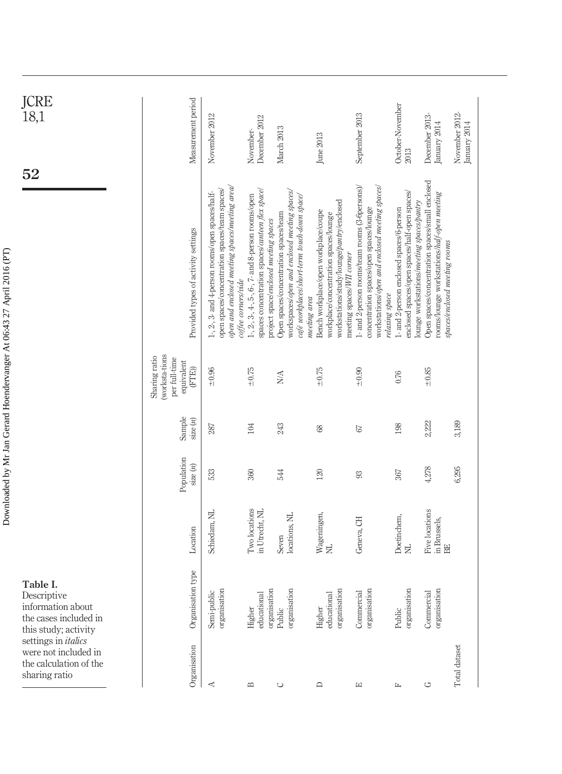| JCRE<br>.<br>18,1                                                                             | Measurement period                                                      | November 2012                                                                                                                                                             | December 2012<br>November-                                                                                                                    | March 2013                                                                                                                            | June 2013                                                                                                                                                               | September 2013                                                                                                                                                | October-November<br>2013                                                                                                               | December 2013-<br>January 2014                                                                                                  | November 2012-<br>January 2014 |
|-----------------------------------------------------------------------------------------------|-------------------------------------------------------------------------|---------------------------------------------------------------------------------------------------------------------------------------------------------------------------|-----------------------------------------------------------------------------------------------------------------------------------------------|---------------------------------------------------------------------------------------------------------------------------------------|-------------------------------------------------------------------------------------------------------------------------------------------------------------------------|---------------------------------------------------------------------------------------------------------------------------------------------------------------|----------------------------------------------------------------------------------------------------------------------------------------|---------------------------------------------------------------------------------------------------------------------------------|--------------------------------|
| ${\bf 52}$                                                                                    | Provided types of activity settings                                     | open and enclosed meeting spaces/meeting area/<br>open spaces/concentration spaces/team spaces/<br>1-, 2-, 3- and 4-person rooms/open spaces/half-<br>coffee corners/vide | spaces concentration spaces/canteen flex space<br>1-, 2-, 3-, 4-, 5-, 6-, 7- and 8-person rooms/open<br>project space/enclosed meeting spaces | workspaces/open and enclosed meeting spaces/<br>café workplaces/short-term touch-down space/<br>Open spaces/concentration spaces/team | workstations/study/lounge/pantry/enclosed<br>Bench workplace/open workplace/coupe<br>workplace/concentration spaces/lounge<br>meeting spaces/WII corner<br>meeting area | 1- and 2-person rooms/team rooms (3-6persons)/<br>workstations/open and enclosed meeting spaces/<br>concentration spaces/open spaces/lounge<br>relaxing space | enclosed spaces/open spaces/half-open spaces/<br>lounge workstations/meeting spaces/pantry<br>I- and 2-person enclosed spaces/6-person | Open spaces/concentration spaces/small enclosed<br>rooms/lounge workstations/half-open meeting<br>spaces/enclosed meeting rooms |                                |
|                                                                                               | (worksta-tions<br>Sharing ratio<br>per full-time<br>equivalent<br>(FTE) | ±0.96                                                                                                                                                                     | $-0.75$                                                                                                                                       | $_{\rm N/A}$                                                                                                                          | $-0.75$                                                                                                                                                                 | $+0.90$                                                                                                                                                       | 0.76                                                                                                                                   | $_{+0.85}$                                                                                                                      |                                |
|                                                                                               | Sample<br>size(n)                                                       | 287                                                                                                                                                                       | 104                                                                                                                                           | 243                                                                                                                                   | $68\,$                                                                                                                                                                  | $67\,$                                                                                                                                                        | 198                                                                                                                                    | 2,222                                                                                                                           | 3,189                          |
|                                                                                               | Population<br>size(n)                                                   | 533                                                                                                                                                                       | 360                                                                                                                                           | 544                                                                                                                                   | 120                                                                                                                                                                     | 93                                                                                                                                                            | 367                                                                                                                                    | 4,278                                                                                                                           | 6,295                          |
|                                                                                               | Location                                                                | Schiedam, NL                                                                                                                                                              | Two locations<br>in Utrecht, NL                                                                                                               | locations, NL<br>Seven                                                                                                                | Wageningen,<br>NL                                                                                                                                                       | Geneva, CH                                                                                                                                                    | Doetinchem,<br>$\Xi$                                                                                                                   | <b>Five locations</b><br>in Brussels,<br>EE                                                                                     |                                |
| Table I.<br>Descriptive<br>information about<br>the cases included in<br>this study; activity | Organisation type                                                       | Semi-public<br>organisation                                                                                                                                               | educational<br>Higher                                                                                                                         | organisation<br>organisation<br>Public                                                                                                | educational<br>organisation<br>Higher                                                                                                                                   | organisation<br>Commercial                                                                                                                                    | organisation<br>Public                                                                                                                 | organisation<br>Commercial                                                                                                      |                                |
| settings in <i>italics</i><br>were not included in<br>the calculation of the<br>sharing ratio | Organisation                                                            | $\blacktriangleleft$                                                                                                                                                      | $\mathbf{\underline{m}}$                                                                                                                      | $\circ$                                                                                                                               | $\square$                                                                                                                                                               | $\boxed{\underline{\mathbf{r}}$                                                                                                                               | 匞                                                                                                                                      | $\circlearrowleft$                                                                                                              | Total dataset                  |

<span id="page-4-0"></span>Downloaded by Mr Jan Gerard Hoendervanger At 06:43 27 April 2016 (PT) Downloaded by Mr Jan Gerard Hoendervanger At 06:43 27 April 2016 (PT)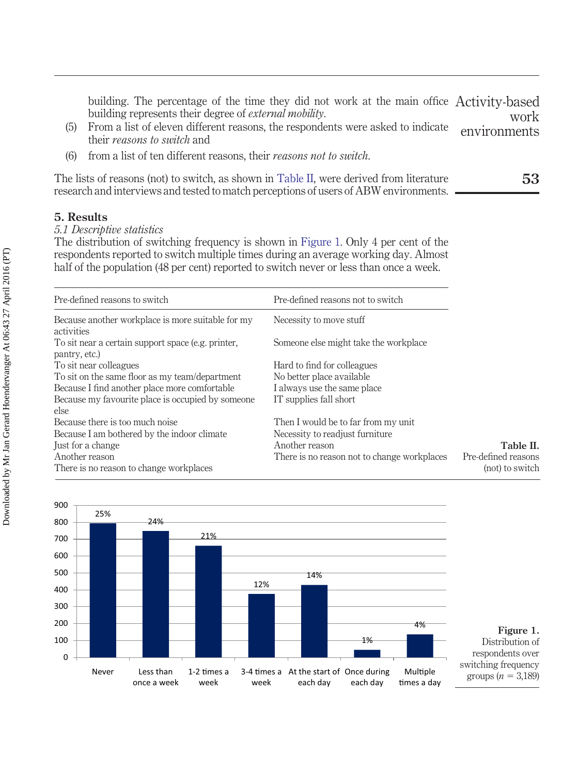building. The percentage of the time they did not work at the main office Activity-based building represents their degree of *external mobility*. work

- (5) From a list of eleven different reasons, the respondents were asked to indicate their *reasons to switch* and environments
- (6) from a list of ten different reasons, their *reasons not to switch*.

The lists of reasons (not) to switch, as shown in [Table II,](#page-5-0) were derived from literature research and interviews and tested to match perceptions of users of ABW environments.

# **5. Results**

# *5.1 Descriptive statistics*

The distribution of switching frequency is shown in [Figure 1.](#page-5-1) Only 4 per cent of the respondents reported to switch multiple times during an average working day. Almost half of the population (48 per cent) reported to switch never or less than once a week.

<span id="page-5-0"></span>

| Pre-defined reasons to switch                                    | Pre-defined reasons not to switch           |                     |
|------------------------------------------------------------------|---------------------------------------------|---------------------|
| Because another workplace is more suitable for my                | Necessity to move stuff                     |                     |
| activities<br>To sit near a certain support space (e.g. printer, | Someone else might take the workplace       |                     |
| pantry, etc.)                                                    |                                             |                     |
| To sit near colleagues                                           | Hard to find for colleagues                 |                     |
| To sit on the same floor as my team/department                   | No better place available                   |                     |
| Because I find another place more comfortable                    | I always use the same place                 |                     |
| Because my favourite place is occupied by someone                | IT supplies fall short                      |                     |
| else                                                             |                                             |                     |
| Because there is too much noise                                  | Then I would be to far from my unit         |                     |
| Because I am bothered by the indoor climate                      | Necessity to readjust furniture             |                     |
| Just for a change                                                | Another reason                              | Table II.           |
| Another reason                                                   | There is no reason not to change workplaces | Pre-defined reasons |
| There is no reason to change workplaces                          |                                             | (not) to switch     |
|                                                                  |                                             |                     |

<span id="page-5-1"></span>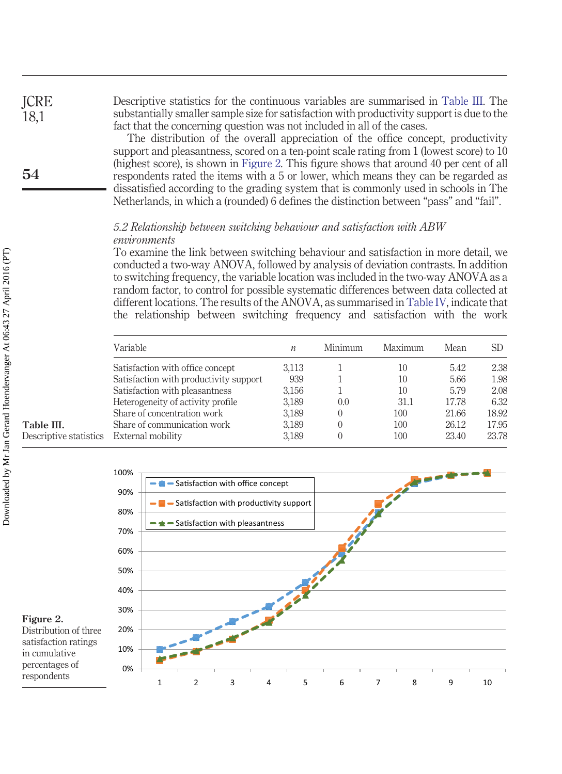Descriptive statistics for the continuous variables are summarised in [Table III.](#page-6-0) The substantially smaller sample size for satisfaction with productivity support is due to the fact that the concerning question was not included in all of the cases.

The distribution of the overall appreciation of the office concept, productivity support and pleasantness, scored on a ten-point scale rating from 1 (lowest score) to 10 (highest score), is shown in [Figure 2.](#page-6-1) This figure shows that around 40 per cent of all respondents rated the items with a 5 or lower, which means they can be regarded as dissatisfied according to the grading system that is commonly used in schools in The Netherlands, in which a (rounded) 6 defines the distinction between "pass" and "fail".

# *5.2 Relationship between switching behaviour and satisfaction with ABW environments*

To examine the link between switching behaviour and satisfaction in more detail, we conducted a two-way ANOVA, followed by analysis of deviation contrasts. In addition to switching frequency, the variable location was included in the two-way ANOVA as a random factor, to control for possible systematic differences between data collected at different locations. The results of the ANOVA, as summarised in [Table IV,](#page-7-0) indicate that the relationship between switching frequency and satisfaction with the work

<span id="page-6-0"></span>

| Variable                               | $\mathfrak n$ | Minimum | Maximum | Mean  | SD    |
|----------------------------------------|---------------|---------|---------|-------|-------|
| Satisfaction with office concept       | 3.113         |         | 10      | 5.42  | 2.38  |
| Satisfaction with productivity support | 939           |         | 10      | 5.66  | 1.98  |
| Satisfaction with pleasantness         | 3.156         |         | 10      | 5.79  | 2.08  |
| Heterogeneity of activity profile      | 3,189         | 0.0     | 31.1    | 17.78 | 6.32  |
| Share of concentration work            | 3,189         |         | 100     | 21.66 | 18.92 |
| Share of communication work            | 3,189         |         | 100     | 26.12 | 17.95 |
| External mobility                      | 3,189         |         | 100     | 23.40 | 23.78 |

<span id="page-6-1"></span>

# **Table III.** Descriptive statistics

**ICRE** 18,1

**54**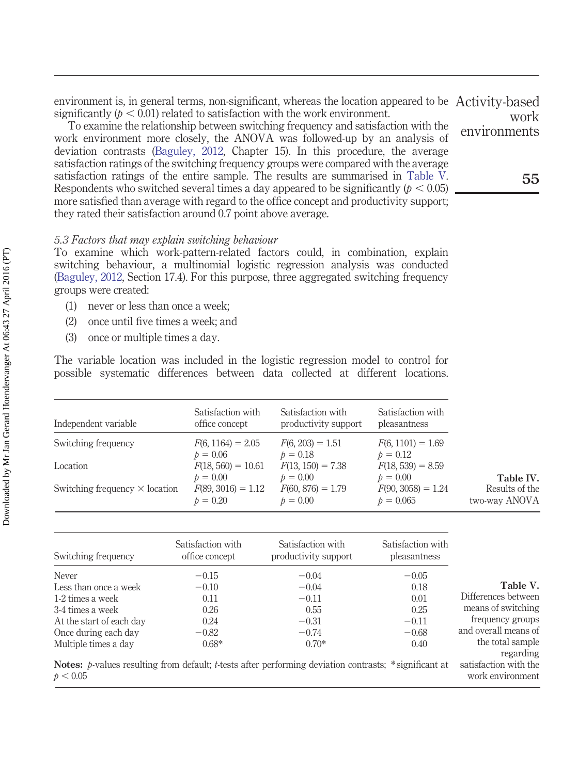environment is, in general terms, non-significant, whereas the location appeared to be Activity-based significantly  $(p < 0.01)$  related to satisfaction with the work environment. work

To examine the relationship between switching frequency and satisfaction with the work environment more closely, the ANOVA was followed-up by an analysis of deviation contrasts [\(Baguley, 2012,](#page-12-7) Chapter 15). In this procedure, the average satisfaction ratings of the switching frequency groups were compared with the average satisfaction ratings of the entire sample. The results are summarised in [Table V.](#page-7-1) Respondents who switched several times a day appeared to be significantly  $(p < 0.05)$ more satisfied than average with regard to the office concept and productivity support; they rated their satisfaction around 0.7 point above average.

## *5.3 Factors that may explain switching behaviour*

To examine which work-pattern-related factors could, in combination, explain switching behaviour, a multinomial logistic regression analysis was conducted [\(Baguley, 2012,](#page-12-7) Section 17.4). For this purpose, three aggregated switching frequency groups were created:

- (1) never or less than once a week;
- (2) once until five times a week; and
- (3) once or multiple times a day.

The variable location was included in the logistic regression model to control for possible systematic differences between data collected at different locations.

<span id="page-7-0"></span>

| Independent variable                  | Satisfaction with<br>office concept              | Satisfaction with<br>productivity support       | Satisfaction with<br>pleasantness                 |                                              |
|---------------------------------------|--------------------------------------------------|-------------------------------------------------|---------------------------------------------------|----------------------------------------------|
| Switching frequency                   | $F(6, 1164) = 2.05$<br>$p = 0.06$                | $F(6, 203) = 1.51$<br>$p = 0.18$                | $F(6, 1101) = 1.69$<br>$p = 0.12$                 |                                              |
| Location                              | $F(18, 560) = 10.61$                             | $F(13, 150) = 7.38$                             | $F(18, 539) = 8.59$                               |                                              |
| Switching frequency $\times$ location | $p = 0.00$<br>$F(89, 3016) = 1.12$<br>$p = 0.20$ | $p = 0.00$<br>$F(60, 876) = 1.79$<br>$p = 0.00$ | $p = 0.00$<br>$F(90, 3058) = 1.24$<br>$p = 0.065$ | Table IV.<br>Results of the<br>two-way ANOVA |

<span id="page-7-1"></span>

| Switching frequency      | Satisfaction with<br>office concept | Satisfaction with<br>productivity support                                                                    | Satisfaction with<br>pleasantness |                                                        |
|--------------------------|-------------------------------------|--------------------------------------------------------------------------------------------------------------|-----------------------------------|--------------------------------------------------------|
| Never                    | $-0.15$                             | $-0.04$                                                                                                      | $-0.05$                           |                                                        |
| Less than once a week    | $-0.10$                             | $-0.04$                                                                                                      | 0.18                              | Table V.                                               |
| 1-2 times a week         | 0.11                                | $-0.11$                                                                                                      | 0.01                              | Differences between                                    |
| 3-4 times a week         | 0.26                                | 0.55                                                                                                         | 0.25                              | means of switching                                     |
| At the start of each day | 0.24                                | $-0.31$                                                                                                      | $-0.11$                           | frequency groups                                       |
| Once during each day     | $-0.82$                             | $-0.74$                                                                                                      | $-0.68$                           | and overall means of                                   |
| Multiple times a day     | $0.68*$                             | $0.70*$                                                                                                      | 0.40                              | the total sample                                       |
| p < 0.05                 |                                     | <b>Notes:</b> p-values resulting from default; t-tests after performing deviation contrasts; *significant at |                                   | regarding<br>satisfaction with the<br>work environment |

**55**

environments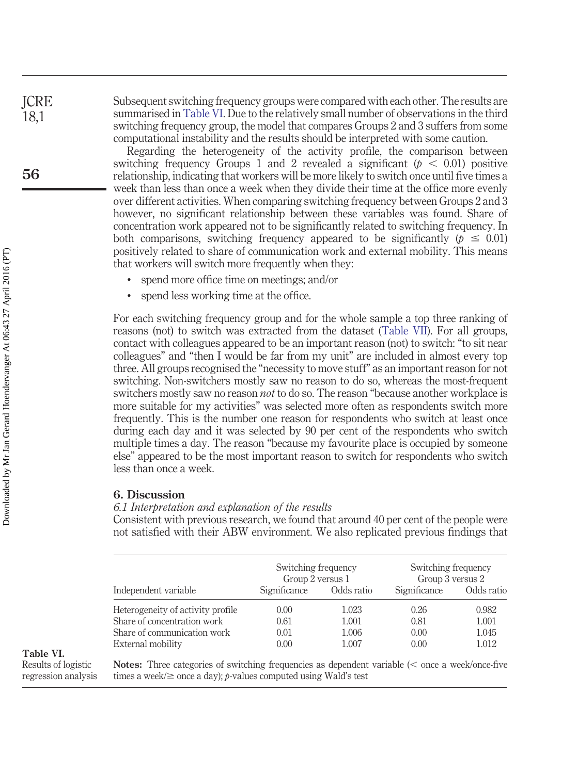Subsequent switching frequency groups were compared with each other. The results are summarised in [Table VI.](#page-8-0) Due to the relatively small number of observations in the third switching frequency group, the model that compares Groups 2 and 3 suffers from some computational instability and the results should be interpreted with some caution.

Regarding the heterogeneity of the activity profile, the comparison between switching frequency Groups 1 and 2 revealed a significant  $(p < 0.01)$  positive relationship, indicating that workers will be more likely to switch once until five times a week than less than once a week when they divide their time at the office more evenly over different activities. When comparing switching frequency between Groups 2 and 3 however, no significant relationship between these variables was found. Share of concentration work appeared not to be significantly related to switching frequency. In both comparisons, switching frequency appeared to be significantly ( $p \leq 0.01$ ) positively related to share of communication work and external mobility. This means that workers will switch more frequently when they:

- spend more office time on meetings; and/or
- spend less working time at the office.

For each switching frequency group and for the whole sample a top three ranking of reasons (not) to switch was extracted from the dataset [\(Table VII\)](#page-9-0). For all groups, contact with colleagues appeared to be an important reason (not) to switch: "to sit near colleagues" and "then I would be far from my unit" are included in almost every top three. All groups recognised the "necessity to move stuff" as an important reason for not switching. Non-switchers mostly saw no reason to do so, whereas the most-frequent switchers mostly saw no reason *not* to do so. The reason "because another workplace is more suitable for my activities" was selected more often as respondents switch more frequently. This is the number one reason for respondents who switch at least once during each day and it was selected by 90 per cent of the respondents who switch multiple times a day. The reason "because my favourite place is occupied by someone else" appeared to be the most important reason to switch for respondents who switch less than once a week.

## **6. Discussion**

#### *6.1 Interpretation and explanation of the results*

Consistent with previous research, we found that around 40 per cent of the people were not satisfied with their ABW environment. We also replicated previous findings that

<span id="page-8-0"></span>

|                                   | Switching frequency<br>Group 2 versus 1 |            | Switching frequency<br>Group 3 versus 2 |            |
|-----------------------------------|-----------------------------------------|------------|-----------------------------------------|------------|
| Independent variable              | Significance                            | Odds ratio | Significance                            | Odds ratio |
| Heterogeneity of activity profile | 0.00                                    | 1.023      | 0.26                                    | 0.982      |
| Share of concentration work       | 0.61                                    | 1.001      | 0.81                                    | 1.001      |
| Share of communication work       | 0.01                                    | 1.006      | 0.00                                    | 1.045      |
| External mobility                 | 0.00                                    | 1.007      | 0.00                                    | 1.012      |

# **Table VI.**

Results of logistic regression analysis **Notes:** Three categories of switching frequencies as dependent variable ( $\lt$  once a week/once-five times a week/ $\geq$  once a day); *p*-values computed using Wald's test

**ICRE** 18,1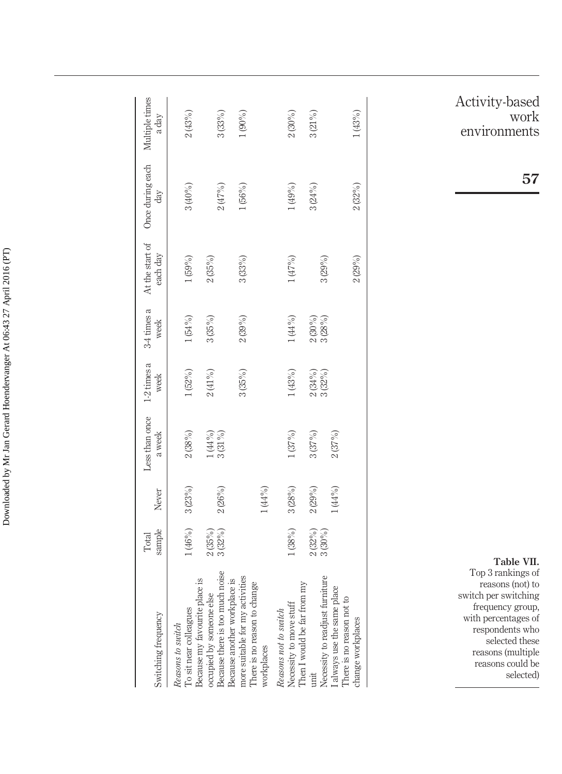| Switching frequency                                                                                  | sample<br>Total           | Never  | Less than once<br>a week | $1-2$ times a<br>week | $3-4$ times a<br>week     | At the start of<br>each day | Once during each<br>$\mathrm{day}$ | Multiple times<br>a day |
|------------------------------------------------------------------------------------------------------|---------------------------|--------|--------------------------|-----------------------|---------------------------|-----------------------------|------------------------------------|-------------------------|
| To sit near colleagues<br>Reasons to switch                                                          | 1(46%)                    | 3(23%) | $2\,(38\%)$              | 1(52%)                | $1(54\%)$                 | 1(59%)                      | 3(40%)                             | 2(43%)                  |
| Because there is too much noise<br>Because my favourite place is<br>occupied by someone else         | 3(32%)<br>2(35%)          | 2(26%) | $1(44%)$<br>$3(31%)$     | $2\, (41\%)$          | $3(35\%)$                 | 2(35%)                      | 2(47%)                             | 3(33%)                  |
| more suitable for my activities<br>Because another workplace is<br>nange<br>There is no reason to ch |                           |        |                          | 3(35%)                | 2(39%)                    | 3(33%)                      | 1(56%)                             | $1(90\%)$               |
| workplaces                                                                                           |                           | 1(44%  |                          |                       |                           |                             |                                    |                         |
| Necessity to move stuff<br>Reasons not to switch                                                     | 1(38%)                    | 3(28%) | $1\,(37\%)$              | 1(43%)                | $1\,(44\,\%)$             | 1(47%)                      | 1(49%)                             | 2(30%)                  |
| Then I would be far from my<br>unit                                                                  | $\frac{2(32\%)}{3(30\%)}$ | 2(29%) | 3(37%)                   | $2(34%)$<br>3(32%)    | $\frac{2(30\%)}{3(28\%)}$ |                             | 3(24%)                             | $3(21\%)$               |
| Necessity to readjust furniture<br>I always use the same place                                       |                           | (44%   | 2(37%)                   |                       |                           | 3(29%)                      |                                    |                         |
| There is no reason not to<br>change workplaces                                                       |                           |        |                          |                       |                           | 2(29%)                      | 2(32%)                             | (43%)                   |
|                                                                                                      |                           |        |                          |                       |                           |                             |                                    |                         |

Activity-based work environments

**57**

<span id="page-9-0"></span>**Table VII.** Top 3 rankings of reasons (not) to switch per switching frequency group, with percentages of respondents who selected these reasons (multiple reasons could be selected)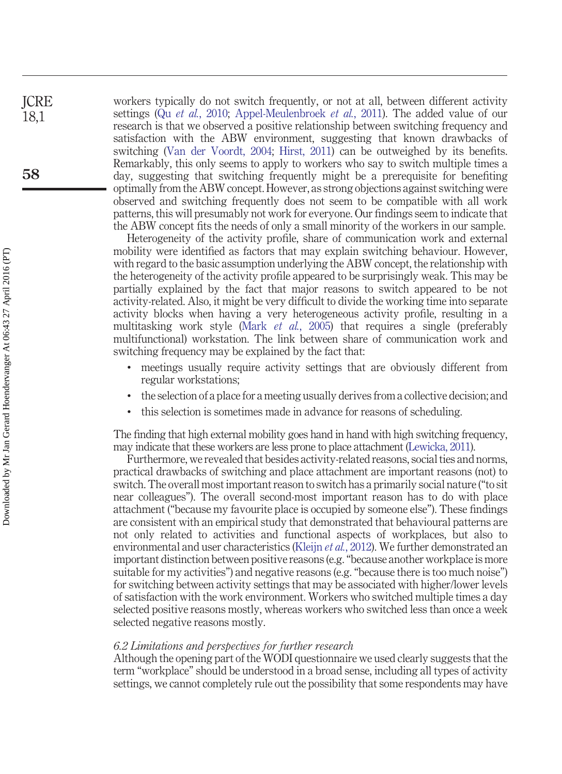workers typically do not switch frequently, or not at all, between different activity settings (Qu *et al.*[, 2010;](#page-13-8) [Appel-Meulenbroek](#page-12-5) *et al.*, 2011). The added value of our research is that we observed a positive relationship between switching frequency and satisfaction with the ABW environment, suggesting that known drawbacks of switching [\(Van der Voordt, 2004;](#page-13-7) [Hirst, 2011\)](#page-13-11) can be outweighed by its benefits. Remarkably, this only seems to apply to workers who say to switch multiple times a day, suggesting that switching frequently might be a prerequisite for benefiting optimally from the ABW concept. However, as strong objections against switching were observed and switching frequently does not seem to be compatible with all work patterns, this will presumably not work for everyone. Our findings seem to indicate that the ABW concept fits the needs of only a small minority of the workers in our sample.

Heterogeneity of the activity profile, share of communication work and external mobility were identified as factors that may explain switching behaviour. However, with regard to the basic assumption underlying the ABW concept, the relationship with the heterogeneity of the activity profile appeared to be surprisingly weak. This may be partially explained by the fact that major reasons to switch appeared to be not activity-related. Also, it might be very difficult to divide the working time into separate activity blocks when having a very heterogeneous activity profile, resulting in a multitasking work style (Mark *et al.*[, 2005\)](#page-13-0) that requires a single (preferably multifunctional) workstation. The link between share of communication work and switching frequency may be explained by the fact that:

- meetings usually require activity settings that are obviously different from regular workstations;
- the selection of a place for a meeting usually derives from a collective decision; and
- this selection is sometimes made in advance for reasons of scheduling.

The finding that high external mobility goes hand in hand with high switching frequency, may indicate that these workers are less prone to place attachment [\(Lewicka, 2011\)](#page-13-15).

Furthermore, we revealed that besides activity-related reasons, social ties and norms, practical drawbacks of switching and place attachment are important reasons (not) to switch. The overall most important reason to switch has a primarily social nature ("to sit near colleagues"). The overall second-most important reason has to do with place attachment ("because my favourite place is occupied by someone else"). These findings are consistent with an empirical study that demonstrated that behavioural patterns are not only related to activities and functional aspects of workplaces, but also to environmental and user characteristics [\(Kleijn](#page-13-16) *et al.*, 2012). We further demonstrated an important distinction between positive reasons (e.g. "because another workplace is more suitable for my activities") and negative reasons (e.g. "because there is too much noise") for switching between activity settings that may be associated with higher/lower levels of satisfaction with the work environment. Workers who switched multiple times a day selected positive reasons mostly, whereas workers who switched less than once a week selected negative reasons mostly.

#### *6.2 Limitations and perspectives for further research*

Although the opening part of the WODI questionnaire we used clearly suggests that the term "workplace" should be understood in a broad sense, including all types of activity settings, we cannot completely rule out the possibility that some respondents may have

**ICRE** 18,1

**58**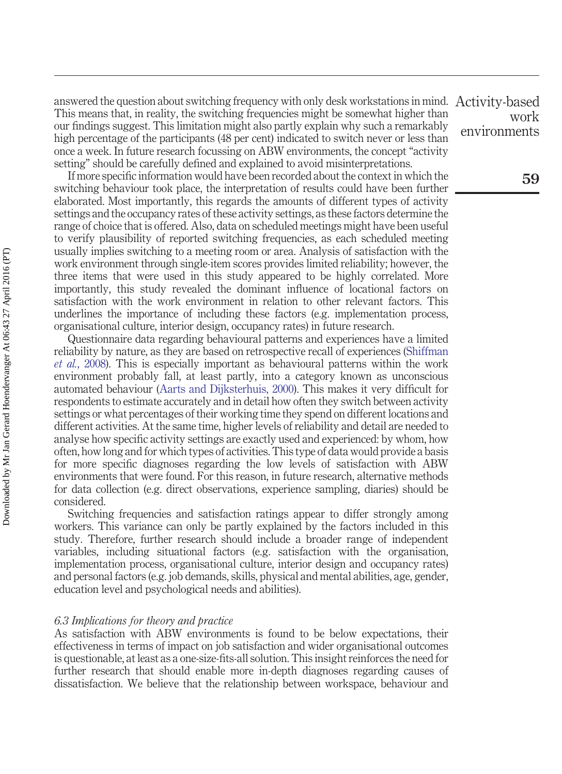answered the question about switching frequency with only desk workstations in mind. This means that, in reality, the switching frequencies might be somewhat higher than our findings suggest. This limitation might also partly explain why such a remarkably high percentage of the participants (48 per cent) indicated to switch never or less than once a week. In future research focussing on ABW environments, the concept "activity setting" should be carefully defined and explained to avoid misinterpretations.

If more specific information would have been recorded about the context in which the switching behaviour took place, the interpretation of results could have been further elaborated. Most importantly, this regards the amounts of different types of activity settings and the occupancy rates of these activity settings, as these factors determine the range of choice that is offered. Also, data on scheduled meetings might have been useful to verify plausibility of reported switching frequencies, as each scheduled meeting usually implies switching to a meeting room or area. Analysis of satisfaction with the work environment through single-item scores provides limited reliability; however, the three items that were used in this study appeared to be highly correlated. More importantly, this study revealed the dominant influence of locational factors on satisfaction with the work environment in relation to other relevant factors. This underlines the importance of including these factors (e.g. implementation process, organisational culture, interior design, occupancy rates) in future research.

Questionnaire data regarding behavioural patterns and experiences have a limited reliability by nature, as they are based on retrospective recall of experiences [\(Shiffman](#page-13-17) *et al.*[, 2008\)](#page-13-17). This is especially important as behavioural patterns within the work environment probably fall, at least partly, into a category known as unconscious automated behaviour [\(Aarts and Dijksterhuis, 2000\)](#page-12-8). This makes it very difficult for respondents to estimate accurately and in detail how often they switch between activity settings or what percentages of their working time they spend on different locations and different activities. At the same time, higher levels of reliability and detail are needed to analyse how specific activity settings are exactly used and experienced: by whom, how often, how long and for which types of activities. This type of data would provide a basis for more specific diagnoses regarding the low levels of satisfaction with ABW environments that were found. For this reason, in future research, alternative methods for data collection (e.g. direct observations, experience sampling, diaries) should be considered.

Switching frequencies and satisfaction ratings appear to differ strongly among workers. This variance can only be partly explained by the factors included in this study. Therefore, further research should include a broader range of independent variables, including situational factors (e.g. satisfaction with the organisation, implementation process, organisational culture, interior design and occupancy rates) and personal factors (e.g. job demands, skills, physical and mental abilities, age, gender, education level and psychological needs and abilities).

#### *6.3 Implications for theory and practice*

As satisfaction with ABW environments is found to be below expectations, their effectiveness in terms of impact on job satisfaction and wider organisational outcomes is questionable, at least as a one-size-fits-all solution. This insight reinforces the need for further research that should enable more in-depth diagnoses regarding causes of dissatisfaction. We believe that the relationship between workspace, behaviour and

Activity-based work environments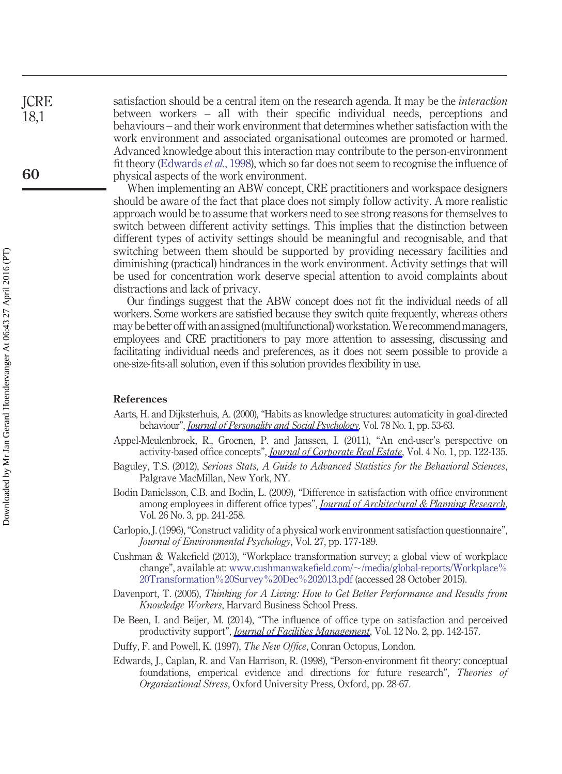**ICRE** 18,1

**60**

satisfaction should be a central item on the research agenda. It may be the *interaction* between workers – all with their specific individual needs, perceptions and behaviours – and their work environment that determines whether satisfaction with the work environment and associated organisational outcomes are promoted or harmed. Advanced knowledge about this interaction may contribute to the person-environment fit theory [\(Edwards](#page-12-9) *et al.*, 1998), which so far does not seem to recognise the influence of physical aspects of the work environment.

When implementing an ABW concept, CRE practitioners and workspace designers should be aware of the fact that place does not simply follow activity. A more realistic approach would be to assume that workers need to see strong reasons for themselves to switch between different activity settings. This implies that the distinction between different types of activity settings should be meaningful and recognisable, and that switching between them should be supported by providing necessary facilities and diminishing (practical) hindrances in the work environment. Activity settings that will be used for concentration work deserve special attention to avoid complaints about distractions and lack of privacy.

Our findings suggest that the ABW concept does not fit the individual needs of all workers. Some workers are satisfied because they switch quite frequently, whereas others may be better off with an assigned(multifunctional) workstation.We recommendmanagers, employees and CRE practitioners to pay more attention to assessing, discussing and facilitating individual needs and preferences, as it does not seem possible to provide a one-size-fits-all solution, even if this solution provides flexibility in use.

#### **References**

- <span id="page-12-8"></span>Aarts, H. and Dijksterhuis, A. (2000), "Habits as knowledge structures: automaticity in goal-directed behaviour", *[Journal of Personality and Social Psychology](http://www.emeraldinsight.com/action/showLinks?crossref=10.1037%2F0022-3514.78.1.53&isi=000084760900004)*, Vol. 78 No. 1, pp. 53-63.
- <span id="page-12-5"></span>Appel-Meulenbroek, R., Groenen, P. and Janssen, I. (2011), "An end-user's perspective on activity-based office concepts", *[Journal of Corporate Real Estate](http://www.emeraldinsight.com/action/showLinks?system=10.1108%2F14630011111136830)*, Vol. 4 No. 1, pp. 122-135.
- <span id="page-12-7"></span>Baguley, T.S. (2012), *Serious Stats, A Guide to Advanced Statistics for the Behavioral Sciences*, Palgrave MacMillan, New York, NY.
- <span id="page-12-3"></span>Bodin Danielsson, C.B. and Bodin, L. (2009), "Difference in satisfaction with office environment among employees in different office types", *[Journal of Architectural & Planning Research](http://www.emeraldinsight.com/action/showLinks?isi=000271241800005)*, Vol. 26 No. 3, pp. 241-258.
- <span id="page-12-6"></span>Carlopio, J. (1996), "Construct validity of a physical work environment satisfaction questionnaire", *Journal of Environmental Psychology*, Vol. 27, pp. 177-189.
- <span id="page-12-2"></span>Cushman & Wakefield (2013), "Workplace transformation survey; a global view of workplace change", available at: www.cushmanwakefield.com/ $\sim$ [/media/global-reports/Workplace%](http://www.cushmanwakefield.com/~/media/global-reports/Workplace%20Transformation%20Survey%20Dec%202013.pdf) [20Transformation%20Survey%20Dec%202013.pdf](http://www.cushmanwakefield.com/~/media/global-reports/Workplace%20Transformation%20Survey%20Dec%202013.pdf) (accessed 28 October 2015).
- <span id="page-12-1"></span>Davenport, T. (2005), *Thinking for A Living: How to Get Better Performance and Results from Knowledge Workers*, Harvard Business School Press.
- <span id="page-12-4"></span>De Been, I. and Beijer, M. (2014), "The influence of office type on satisfaction and perceived productivity support", *[Journal of Facilities Management](http://www.emeraldinsight.com/action/showLinks?system=10.1108%2FJFM-02-2013-0011)*, Vol. 12 No. 2, pp. 142-157.
- <span id="page-12-0"></span>Duffy, F. and Powell, K. (1997), *The New Office*, Conran Octopus, London.
- <span id="page-12-9"></span>Edwards, J., Caplan, R. and Van Harrison, R. (1998), "Person-environment fit theory: conceptual foundations, emperical evidence and directions for future research", *Theories of Organizational Stress*, Oxford University Press, Oxford, pp. 28-67.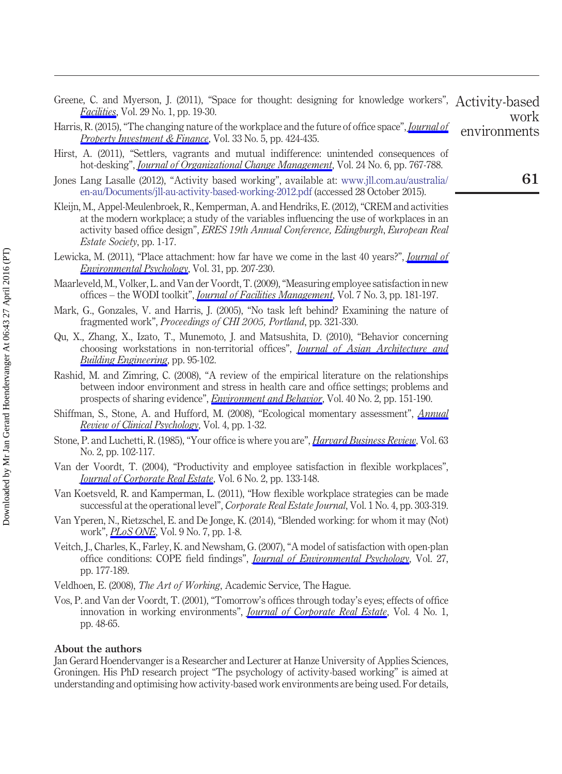- <span id="page-13-13"></span>Greene, C. and Myerson, J. (2011), "Space for thought: designing for knowledge workers", Activity-based *[Facilities](http://www.emeraldinsight.com/action/showLinks?system=10.1108%2F02632771111101304)*, Vol. 29 No. 1, pp. 19-30. work
- <span id="page-13-5"></span>Harris, R. (2015), "The changing nature of the workplace and the future of office space", *[Journal of](http://www.emeraldinsight.com/action/showLinks?system=10.1108%2FJPIF-05-2015-0029) [Property Investment & Finance](http://www.emeraldinsight.com/action/showLinks?system=10.1108%2FJPIF-05-2015-0029)*, Vol. 33 No. 5, pp. 424-435. environments
- <span id="page-13-11"></span>Hirst, A. (2011), "Settlers, vagrants and mutual indifference: unintended consequences of hot-desking", *[Journal of Organizational Change Management](http://www.emeraldinsight.com/action/showLinks?system=10.1108%2F09534811111175742&isi=000297891500005)*, Vol. 24 No. 6, pp. 767-788.
- <span id="page-13-4"></span>Jones Lang Lasalle (2012), "Activity based working", available at: [www.jll.com.au/australia/](http://www.jll.com.au/australia/en-au/Documents/jll-au-activity-based-working-2012.pdf) [en-au/Documents/jll-au-activity-based-working-2012.pdf](http://www.jll.com.au/australia/en-au/Documents/jll-au-activity-based-working-2012.pdf) (accessed 28 October 2015).
- <span id="page-13-16"></span>Kleijn, M., Appel-Meulenbroek, R., Kemperman, A. and Hendriks, E. (2012), "CREM and activities at the modern workplace; a study of the variables influencing the use of workplaces in an activity based office design", *ERES 19th Annual Conference, Edingburgh*, *European Real Estate Society*, pp. 1-17.
- <span id="page-13-15"></span>Lewicka, M. (2011), "Place attachment: how far have we come in the last 40 years?", *[Journal of](http://www.emeraldinsight.com/action/showLinks?crossref=10.1016%2Fj.jenvp.2010.10.001&isi=000295303400001) [Environmental Psychology](http://www.emeraldinsight.com/action/showLinks?crossref=10.1016%2Fj.jenvp.2010.10.001&isi=000295303400001)*, Vol. 31, pp. 207-230.
- <span id="page-13-14"></span>Maarleveld, M., Volker, L. and Van der Voordt, T. (2009), "Measuring employee satisfaction in new offices – the WODI toolkit", *[Journal of Facilities Management](http://www.emeraldinsight.com/action/showLinks?system=10.1108%2F14725960910971469)*, Vol. 7 No. 3, pp. 181-197.
- <span id="page-13-0"></span>Mark, G., Gonzales, V. and Harris, J. (2005), "No task left behind? Examining the nature of fragmented work", *Proceedings of CHI 2005, Portland*, pp. 321-330.
- <span id="page-13-8"></span>Qu, X., Zhang, X., Izato, T., Munemoto, J. and Matsushita, D. (2010), "Behavior concerning choosing workstations in non-territorial offices", *[Journal of Asian Architecture and](http://www.emeraldinsight.com/action/showLinks?crossref=10.3130%2Fjaabe.9.95&isi=000288634600013) [Building Engineering](http://www.emeraldinsight.com/action/showLinks?crossref=10.3130%2Fjaabe.9.95&isi=000288634600013)*, pp. 95-102.
- <span id="page-13-10"></span>Rashid, M. and Zimring, C. (2008), "A review of the empirical literature on the relationships between indoor environment and stress in health care and office settings; problems and prospects of sharing evidence", *[Environment and Behavior](http://www.emeraldinsight.com/action/showLinks?crossref=10.1177%2F0013916507311550&isi=000253456900002)*, Vol. 40 No. 2, pp. 151-190.
- <span id="page-13-17"></span>Shiffman, S., Stone, A. and Hufford, M. (2008), "Ecological momentary assessment", *[Annual](http://www.emeraldinsight.com/action/showLinks?crossref=10.1146%2Fannurev.clinpsy.3.022806.091415&isi=000255649100002) [Review of Clinical Psychology](http://www.emeraldinsight.com/action/showLinks?crossref=10.1146%2Fannurev.clinpsy.3.022806.091415&isi=000255649100002)*, Vol. 4, pp. 1-32.
- <span id="page-13-12"></span>Stone, P. and Luchetti, R. (1985), "Your office is where you are", *[Harvard Business Review](http://www.emeraldinsight.com/action/showLinks?isi=A1985ACR0100012)*, Vol. 63 No. 2, pp. 102-117.
- <span id="page-13-7"></span>Van der Voordt, T. (2004), "Productivity and employee satisfaction in flexible workplaces", *[Journal of Corporate Real Estate](http://www.emeraldinsight.com/action/showLinks?system=10.1108%2F14630010410812306)*, Vol. 6 No. 2, pp. 133-148.
- <span id="page-13-6"></span>Van Koetsveld, R. and Kamperman, L. (2011), "How flexible workplace strategies can be made successful at the operational level", *Corporate Real Estate Journal*, Vol. 1 No. 4, pp. 303-319.
- <span id="page-13-1"></span>Van Yperen, N., Rietzschel, E. and De Jonge, K. (2014), "Blended working: for whom it may (Not) work", *[PLoS ONE](http://www.emeraldinsight.com/action/showLinks?crossref=10.1371%2Fjournal.pone.0102921&isi=000339418300107)*, Vol. 9 No. 7, pp. 1-8.
- <span id="page-13-9"></span>Veitch, J., Charles, K., Farley, K. and Newsham, G. (2007), "A model of satisfaction with open-plan office conditions: COPE field findings", *[Journal of Environmental Psychology](http://www.emeraldinsight.com/action/showLinks?crossref=10.1016%2Fj.jenvp.2007.04.002&isi=000249948600001)*, Vol. 27, pp. 177-189.

<span id="page-13-3"></span><span id="page-13-2"></span>Veldhoen, E. (2008), *The Art of Working*, Academic Service, The Hague.

Vos, P. and Van der Voordt, T. (2001), "Tomorrow's offices through today's eyes; effects of office innovation in working environments", *[Journal of Corporate Real Estate](http://www.emeraldinsight.com/action/showLinks?system=10.1108%2F14630010210811778)*, Vol. 4 No. 1, pp. 48-65.

### **About the authors**

Jan Gerard Hoendervanger is a Researcher and Lecturer at Hanze University of Applies Sciences, Groningen. His PhD research project "The psychology of activity-based working" is aimed at understanding and optimising how activity-based work environments are being used. For details,